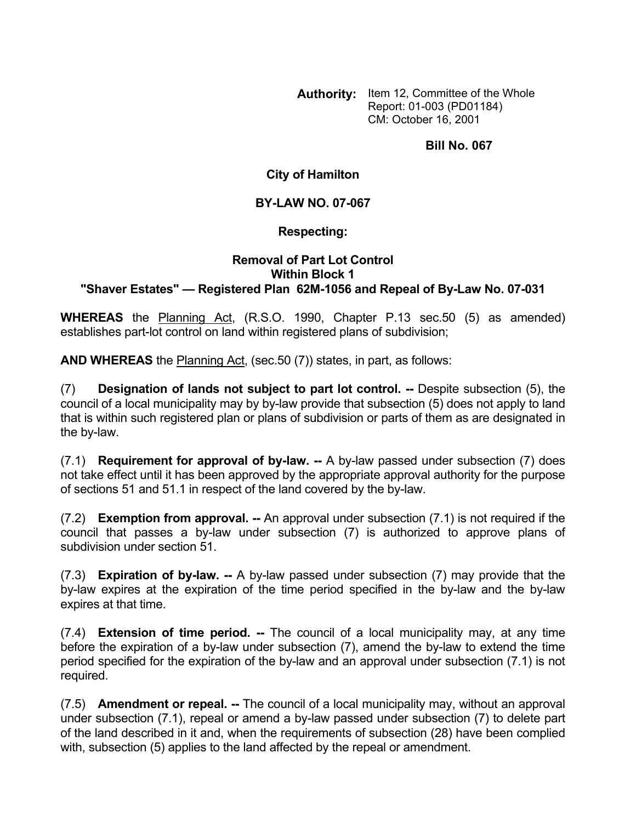**Authority:** Item 12, Committee of the Whole Report: 01-003 (PD01184) CM: October 16, 2001

**Bill No. 067** 

**City of Hamilton** 

## **BY-LAW NO. 07-067**

## **Respecting:**

## **Removal of Part Lot Control Within Block 1 "Shaver Estates" — Registered Plan 62M-1056 and Repeal of By-Law No. 07-031**

**WHEREAS** the Planning Act, (R.S.O. 1990, Chapter P.13 sec.50 (5) as amended) establishes part-lot control on land within registered plans of subdivision;

**AND WHEREAS** the Planning Act, (sec.50 (7)) states, in part, as follows:

(7) **Designation of lands not subject to part lot control. --** Despite subsection (5), the council of a local municipality may by by-law provide that subsection (5) does not apply to land that is within such registered plan or plans of subdivision or parts of them as are designated in the by-law.

(7.1) **Requirement for approval of by-law. --** A by-law passed under subsection (7) does not take effect until it has been approved by the appropriate approval authority for the purpose of sections 51 and 51.1 in respect of the land covered by the by-law.

(7.2) **Exemption from approval. --** An approval under subsection (7.1) is not required if the council that passes a by-law under subsection (7) is authorized to approve plans of subdivision under section 51.

(7.3) **Expiration of by-law. --** A by-law passed under subsection (7) may provide that the by-law expires at the expiration of the time period specified in the by-law and the by-law expires at that time.

(7.4) **Extension of time period. --** The council of a local municipality may, at any time before the expiration of a by-law under subsection (7), amend the by-law to extend the time period specified for the expiration of the by-law and an approval under subsection (7.1) is not required.

(7.5) **Amendment or repeal. --** The council of a local municipality may, without an approval under subsection (7.1), repeal or amend a by-law passed under subsection (7) to delete part of the land described in it and, when the requirements of subsection (28) have been complied with, subsection (5) applies to the land affected by the repeal or amendment.